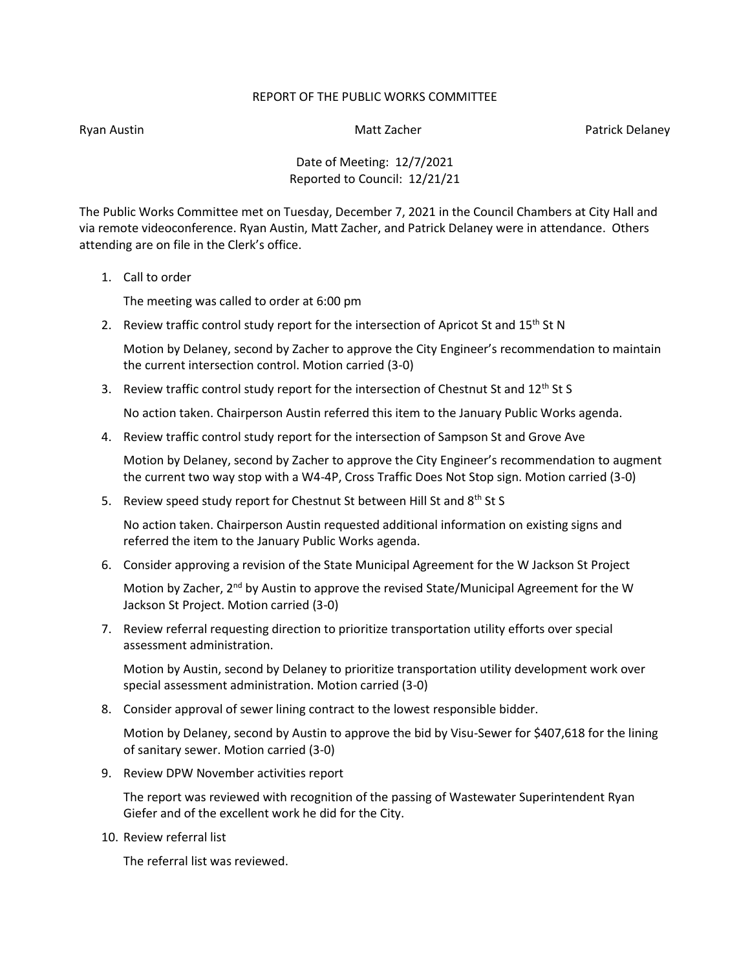## REPORT OF THE PUBLIC WORKS COMMITTEE

Ryan Austin Nation Matt Zacher Patrick Delaney Matt Zacher Patrick Delaney

Date of Meeting: 12/7/2021 Reported to Council: 12/21/21

The Public Works Committee met on Tuesday, December 7, 2021 in the Council Chambers at City Hall and via remote videoconference. Ryan Austin, Matt Zacher, and Patrick Delaney were in attendance. Others attending are on file in the Clerk's office.

1. Call to order

The meeting was called to order at 6:00 pm

2. Review traffic control study report for the intersection of Apricot St and  $15<sup>th</sup>$  St N

Motion by Delaney, second by Zacher to approve the City Engineer's recommendation to maintain the current intersection control. Motion carried (3-0)

3. Review traffic control study report for the intersection of Chestnut St and  $12<sup>th</sup>$  St S

No action taken. Chairperson Austin referred this item to the January Public Works agenda.

4. Review traffic control study report for the intersection of Sampson St and Grove Ave

Motion by Delaney, second by Zacher to approve the City Engineer's recommendation to augment the current two way stop with a W4-4P, Cross Traffic Does Not Stop sign. Motion carried (3-0)

5. Review speed study report for Chestnut St between Hill St and 8<sup>th</sup> St S

No action taken. Chairperson Austin requested additional information on existing signs and referred the item to the January Public Works agenda.

6. Consider approving a revision of the State Municipal Agreement for the W Jackson St Project

Motion by Zacher, 2<sup>nd</sup> by Austin to approve the revised State/Municipal Agreement for the W Jackson St Project. Motion carried (3-0)

7. Review referral requesting direction to prioritize transportation utility efforts over special assessment administration.

Motion by Austin, second by Delaney to prioritize transportation utility development work over special assessment administration. Motion carried (3-0)

8. Consider approval of sewer lining contract to the lowest responsible bidder.

Motion by Delaney, second by Austin to approve the bid by Visu-Sewer for \$407,618 for the lining of sanitary sewer. Motion carried (3-0)

9. Review DPW November activities report

The report was reviewed with recognition of the passing of Wastewater Superintendent Ryan Giefer and of the excellent work he did for the City.

10. Review referral list

The referral list was reviewed.